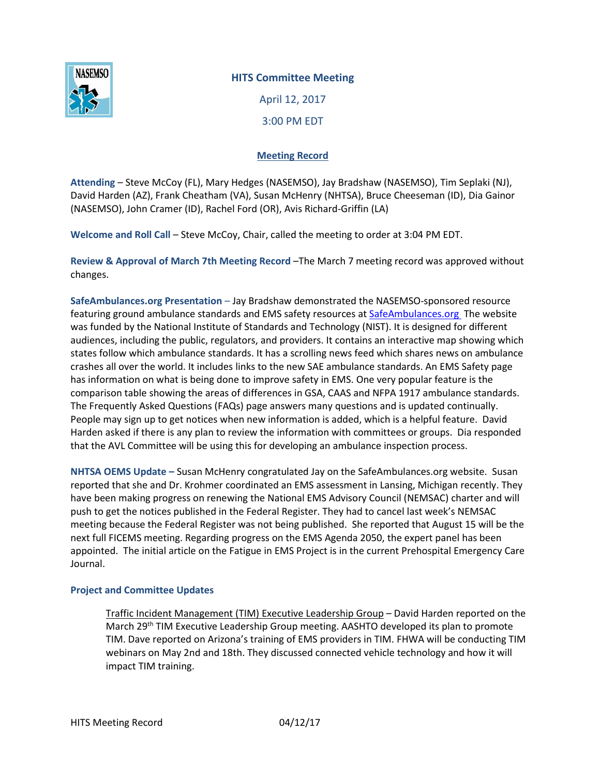

## **HITS Committee Meeting**

April 12, 2017 3:00 PM EDT

## **Meeting Record**

**Attending** – Steve McCoy (FL), Mary Hedges (NASEMSO), Jay Bradshaw (NASEMSO), Tim Seplaki (NJ), David Harden (AZ), Frank Cheatham (VA), Susan McHenry (NHTSA), Bruce Cheeseman (ID), Dia Gainor (NASEMSO), John Cramer (ID), Rachel Ford (OR), Avis Richard-Griffin (LA)

**Welcome and Roll Call** – Steve McCoy, Chair, called the meeting to order at 3:04 PM EDT.

**Review & Approval of March 7th Meeting Record** –The March 7 meeting record was approved without changes.

**SafeAmbulances.org Presentation** – Jay Bradshaw demonstrated the NASEMSO-sponsored resource featuring ground ambulance standards and EMS safety resources at [SafeAmbulances.org](http://www.safeambulances.org/) The website was funded by the National Institute of Standards and Technology (NIST). It is designed for different audiences, including the public, regulators, and providers. It contains an interactive map showing which states follow which ambulance standards. It has a scrolling news feed which shares news on ambulance crashes all over the world. It includes links to the new SAE ambulance standards. An EMS Safety page has information on what is being done to improve safety in EMS. One very popular feature is the comparison table showing the areas of differences in GSA, CAAS and NFPA 1917 ambulance standards. The Frequently Asked Questions (FAQs) page answers many questions and is updated continually. People may sign up to get notices when new information is added, which is a helpful feature. David Harden asked if there is any plan to review the information with committees or groups. Dia responded that the AVL Committee will be using this for developing an ambulance inspection process.

**NHTSA OEMS Update –** Susan McHenry congratulated Jay on the SafeAmbulances.org website. Susan reported that she and Dr. Krohmer coordinated an EMS assessment in Lansing, Michigan recently. They have been making progress on renewing the National EMS Advisory Council (NEMSAC) charter and will push to get the notices published in the Federal Register. They had to cancel last week's NEMSAC meeting because the Federal Register was not being published. She reported that August 15 will be the next full FICEMS meeting. Regarding progress on the EMS Agenda 2050, the expert panel has been appointed. The initial article on the Fatigue in EMS Project is in the current Prehospital Emergency Care Journal.

## **Project and Committee Updates**

Traffic Incident Management (TIM) Executive Leadership Group – David Harden reported on the March 29<sup>th</sup> TIM Executive Leadership Group meeting. AASHTO developed its plan to promote TIM. Dave reported on Arizona's training of EMS providers in TIM. FHWA will be conducting TIM webinars on May 2nd and 18th. They discussed connected vehicle technology and how it will impact TIM training.